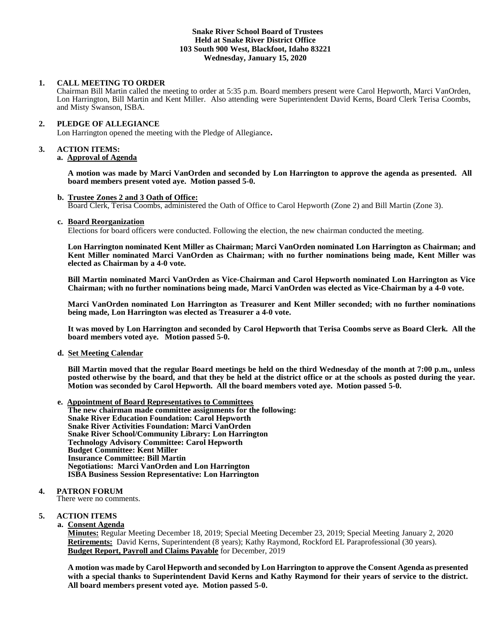# **Snake River School Board of Trustees Held at Snake River District Office 103 South 900 West, Blackfoot, Idaho 83221 Wednesday, January 15, 2020**

# **1. CALL MEETING TO ORDER**

Chairman Bill Martin called the meeting to order at 5:35 p.m. Board members present were Carol Hepworth, Marci VanOrden, Lon Harrington, Bill Martin and Kent Miller. Also attending were Superintendent David Kerns, Board Clerk Terisa Coombs, and Misty Swanson, ISBA.

# **2. PLEDGE OF ALLEGIANCE**

Lon Harrington opened the meeting with the Pledge of Allegiance**.** 

# **3. ACTION ITEMS:**

# **a. Approval of Agenda**

**A motion was made by Marci VanOrden and seconded by Lon Harrington to approve the agenda as presented. All board members present voted aye. Motion passed 5-0.**

## **b. Trustee Zones 2 and 3 Oath of Office:**

Board Clerk, Terisa Coombs, administered the Oath of Office to Carol Hepworth (Zone 2) and Bill Martin (Zone 3).

## **c. Board Reorganization**

Elections for board officers were conducted. Following the election, the new chairman conducted the meeting.

**Lon Harrington nominated Kent Miller as Chairman; Marci VanOrden nominated Lon Harrington as Chairman; and Kent Miller nominated Marci VanOrden as Chairman; with no further nominations being made, Kent Miller was elected as Chairman by a 4-0 vote.**

**Bill Martin nominated Marci VanOrden as Vice-Chairman and Carol Hepworth nominated Lon Harrington as Vice Chairman; with no further nominations being made, Marci VanOrden was elected as Vice-Chairman by a 4-0 vote.**

**Marci VanOrden nominated Lon Harrington as Treasurer and Kent Miller seconded; with no further nominations being made, Lon Harrington was elected as Treasurer a 4-0 vote.**

**It was moved by Lon Harrington and seconded by Carol Hepworth that Terisa Coombs serve as Board Clerk. All the board members voted aye. Motion passed 5-0.**

# **d. Set Meeting Calendar**

**Bill Martin moved that the regular Board meetings be held on the third Wednesday of the month at 7:00 p.m., unless posted otherwise by the board, and that they be held at the district office or at the schools as posted during the year. Motion was seconded by Carol Hepworth. All the board members voted aye. Motion passed 5-0.**

**e. Appointment of Board Representatives to Committees The new chairman made committee assignments for the following: Snake River Education Foundation: Carol Hepworth Snake River Activities Foundation: Marci VanOrden Snake River School/Community Library: Lon Harrington Technology Advisory Committee: Carol Hepworth Budget Committee: Kent Miller Insurance Committee: Bill Martin Negotiations: Marci VanOrden and Lon Harrington ISBA Business Session Representative: Lon Harrington**

# **4. PATRON FORUM**

There were no comments.

# **5. ACTION ITEMS**

**a. Consent Agenda**

**Minutes:** Regular Meeting December 18, 2019; Special Meeting December 23, 2019; Special Meeting January 2, 2020 **Retirements:** David Kerns, Superintendent (8 years); Kathy Raymond, Rockford EL Paraprofessional (30 years). **Budget Report, Payroll and Claims Payable** for December, 2019

**A motion was made by Carol Hepworth and seconded by Lon Harrington to approve the Consent Agenda as presented with a special thanks to Superintendent David Kerns and Kathy Raymond for their years of service to the district. All board members present voted aye. Motion passed 5-0.**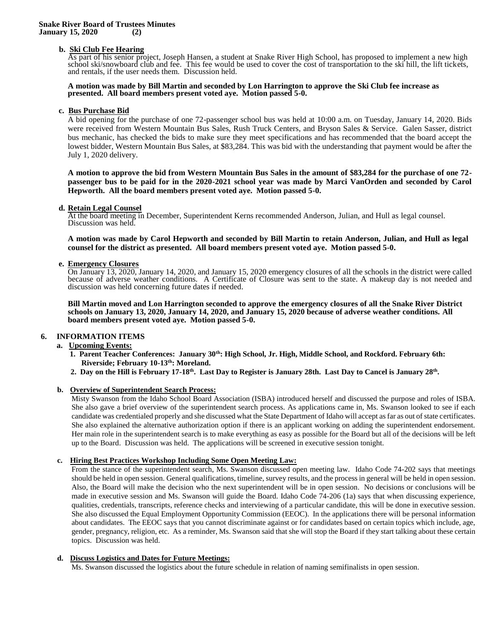# **b. Ski Club Fee Hearing**

As part of his senior project, Joseph Hansen, a student at Snake River High School, has proposed to implement a new high school ski/snowboard club and fee. This fee would be used to cover the cost of transportation to the ski hill, the lift tickets, and rentals, if the user needs them. Discussion held.

## **A motion was made by Bill Martin and seconded by Lon Harrington to approve the Ski Club fee increase as presented. All board members present voted aye. Motion passed 5-0.**

# **c. Bus Purchase Bid**

A bid opening for the purchase of one 72-passenger school bus was held at 10:00 a.m. on Tuesday, January 14, 2020. Bids were received from Western Mountain Bus Sales, Rush Truck Centers, and Bryson Sales & Service. Galen Sasser, district bus mechanic, has checked the bids to make sure they meet specifications and has recommended that the board accept the lowest bidder, Western Mountain Bus Sales, at \$83,284. This was bid with the understanding that payment would be after the July 1, 2020 delivery.

**A motion to approve the bid from Western Mountain Bus Sales in the amount of \$83,284 for the purchase of one 72 passenger bus to be paid for in the 2020-2021 school year was made by Marci VanOrden and seconded by Carol Hepworth. All the board members present voted aye. Motion passed 5-0.**

## **d. Retain Legal Counsel**

At the board meeting in December, Superintendent Kerns recommended Anderson, Julian, and Hull as legal counsel. Discussion was held.

**A motion was made by Carol Hepworth and seconded by Bill Martin to retain Anderson, Julian, and Hull as legal counsel for the district as presented. All board members present voted aye. Motion passed 5-0.**

## **e. Emergency Closures**

On January 13, 2020, January 14, 2020, and January 15, 2020 emergency closures of all the schools in the district were called because of adverse weather conditions. A Certificate of Closure was sent to the state. A makeup day is not needed and discussion was held concerning future dates if needed.

**Bill Martin moved and Lon Harrington seconded to approve the emergency closures of all the Snake River District schools on January 13, 2020, January 14, 2020, and January 15, 2020 because of adverse weather conditions. All board members present voted aye. Motion passed 5-0.** 

## **6. INFORMATION ITEMS**

## **a. Upcoming Events:**

- **1. Parent Teacher Conferences: January 30th: High School, Jr. High, Middle School, and Rockford. February 6th: Riverside; February 10-13th: Moreland.**
- **2. Day on the Hill is February 17-18th. Last Day to Register is January 28th. Last Day to Cancel is January 28th .**

## **b. Overview of Superintendent Search Process:**

Misty Swanson from the Idaho School Board Association (ISBA) introduced herself and discussed the purpose and roles of ISBA. She also gave a brief overview of the superintendent search process. As applications came in, Ms. Swanson looked to see if each candidate was credentialed properly and she discussed what the State Department of Idaho will accept as far as out of state certificates. She also explained the alternative authorization option if there is an applicant working on adding the superintendent endorsement. Her main role in the superintendent search is to make everything as easy as possible for the Board but all of the decisions will be left up to the Board. Discussion was held. The applications will be screened in executive session tonight.

## **c. Hiring Best Practices Workshop Including Some Open Meeting Law:**

From the stance of the superintendent search, Ms. Swanson discussed open meeting law.Idaho Code 74-202 says that meetings should be held in open session. General qualifications, timeline, survey results, and the process in general will be held in open session. Also, the Board will make the decision who the next superintendent will be in open session. No decisions or conclusions will be made in executive session and Ms. Swanson will guide the Board. Idaho Code 74-206 (1a) says that when discussing experience, qualities, credentials, transcripts, reference checks and interviewing of a particular candidate, this will be done in executive session. She also discussed the Equal Employment Opportunity Commission (EEOC). In the applications there will be personal information about candidates. The EEOC says that you cannot discriminate against or for candidates based on certain topics which include, age, gender, pregnancy, religion, etc. As a reminder, Ms. Swanson said that she will stop the Board if they start talking about these certain topics. Discussion was held.

## **d. Discuss Logistics and Dates for Future Meetings:**

Ms. Swanson discussed the logistics about the future schedule in relation of naming semifinalists in open session.